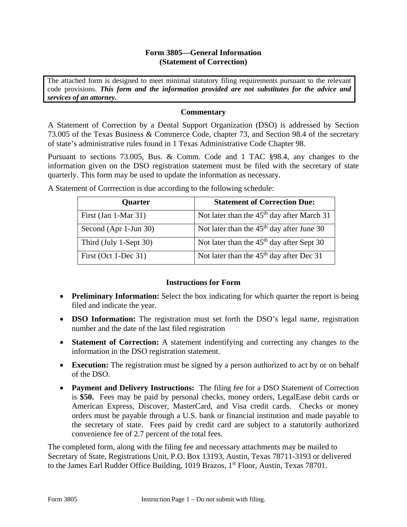#### **Form 3805—General Information (Statement of Correction)**

The attached form is designed to meet minimal statutory filing requirements pursuant to the relevant code provisions. *This form and the information provided are not substitutes for the advice and services of an attorney.* 

### **Commentary**

A Statement of Correction by a Dental Support Organization (DSO) is addressed by Section 73.005 of the Texas Business & Commerce Code, chapter 73, and Section 98.4 of the secretary of state's administrative rules found in 1 Texas Administrative Code Chapter 98.

Pursuant to sections 73.005, Bus. & Comm. Code and 1 TAC §98.4, any changes to the information given on the DSO registration statement must be filed with the secretary of state quarterly. This form may be used to update the information as necessary.

| <b>Quarter</b>         | <b>Statement of Correction Due:</b>                    |
|------------------------|--------------------------------------------------------|
| First (Jan 1-Mar 31)   | Not later than the 45 <sup>th</sup> day after March 31 |
| Second (Apr 1-Jun 30)  | Not later than the $45th$ day after June 30            |
| Third (July 1-Sept 30) | Not later than the $45th$ day after Sept 30            |
| First (Oct 1-Dec 31)   | Not later than the $45th$ day after Dec 31             |

A Statement of Corrrection is due according to the following schedule:

## **Instructions for Form**

- Preliminary Information: Select the box indicating for which quarter the report is being filed and indicate the year.
- **DSO Information:** The registration must set forth the DSO's legal name, registration number and the date of the last filed registration
- **Statement of Correction:** A statement indentifying and correcting any changes to the information in the DSO registration statement.
- **Execution:** The registration must be signed by a person authorized to act by or on behalf of the DSO.
- **Payment and Delivery Instructions:** The filing fee for a DSO Statement of Correction is **\$50.** Fees may be paid by personal checks, money orders, LegalEase debit cards or American Express, Discover, MasterCard, and Visa credit cards. Checks or money orders must be payable through a U.S. bank or financial institution and made payable to the secretary of state. Fees paid by credit card are subject to a statutorily authorized convenience fee of 2.7 percent of the total fees.

The completed form, along with the filing fee and necessary attachments may be mailed to Secretary of State, Registrations Unit, P.O. Box 13193, Austin, Texas 78711-3193 or delivered to the James Earl Rudder Office Building, 1019 Brazos, 1<sup>st</sup> Floor, Austin, Texas 78701.